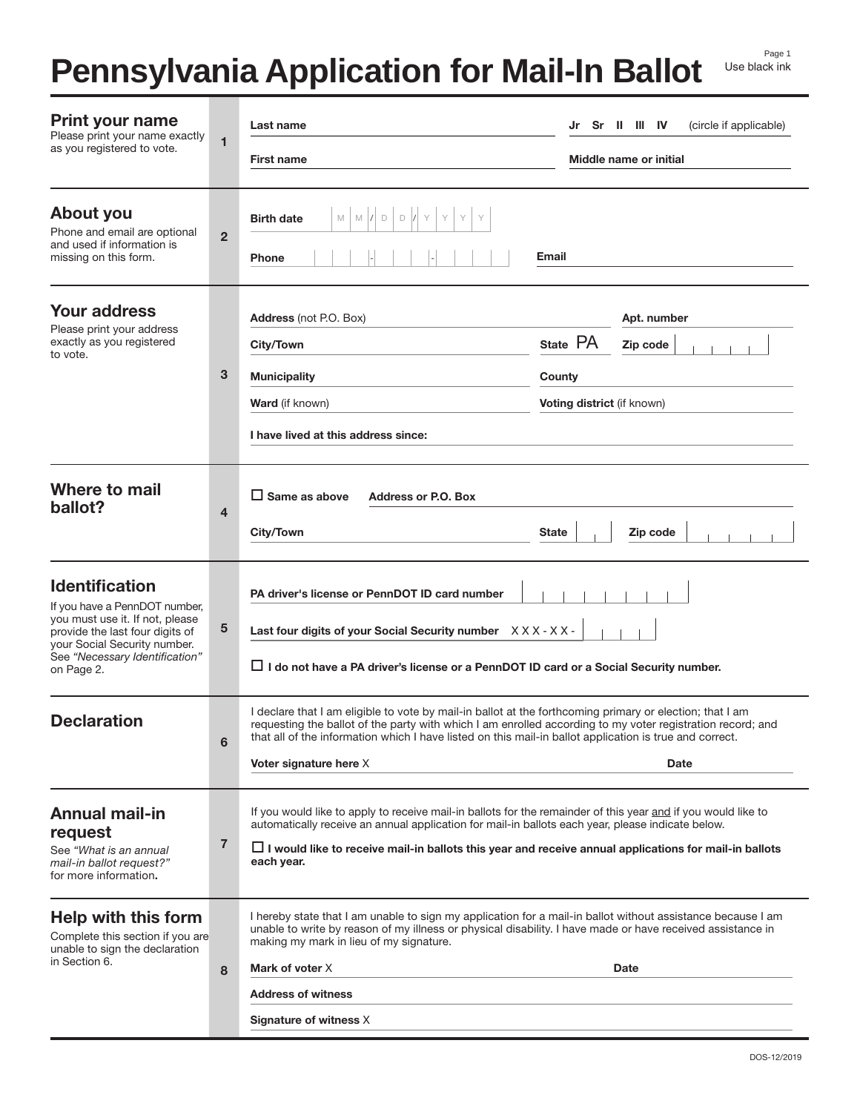# **Pennsylvania Application for Mail-In Ballot**

| <b>Print your name</b><br>Please print your name exactly<br>as you registered to vote.                                                                                                                       | $\mathbf{1}$   | Last name                                                                                                                                                                                                                                                                                                                                                                         | (circle if applicable)<br>Sr II III IV<br>Jr                                       |
|--------------------------------------------------------------------------------------------------------------------------------------------------------------------------------------------------------------|----------------|-----------------------------------------------------------------------------------------------------------------------------------------------------------------------------------------------------------------------------------------------------------------------------------------------------------------------------------------------------------------------------------|------------------------------------------------------------------------------------|
|                                                                                                                                                                                                              |                | <b>First name</b>                                                                                                                                                                                                                                                                                                                                                                 | Middle name or initial                                                             |
| About you<br>Phone and email are optional<br>and used if information is<br>missing on this form.                                                                                                             | $\overline{2}$ | $\mathsf D$<br><b>Birth date</b><br>M<br>M<br>D<br><b>Phone</b>                                                                                                                                                                                                                                                                                                                   | Email                                                                              |
| <b>Your address</b><br>Please print your address<br>exactly as you registered<br>to vote.                                                                                                                    | 3              | Address (not P.O. Box)<br>City/Town<br><b>Municipality</b><br><b>Ward</b> (if known)<br>I have lived at this address since:                                                                                                                                                                                                                                                       | Apt. number<br>State PA<br>Zip code<br>County<br><b>Voting district</b> (if known) |
| Where to mail<br>ballot?                                                                                                                                                                                     | 4              | $\Box$ Same as above<br><b>Address or P.O. Box</b><br>City/Town<br><b>State</b><br>Zip code                                                                                                                                                                                                                                                                                       |                                                                                    |
| <b>Identification</b><br>If you have a PennDOT number,<br>you must use it. If not, please<br>provide the last four digits of<br>your Social Security number.<br>See "Necessary Identification"<br>on Page 2. | 5              | PA driver's license or PennDOT ID card number<br>Last four digits of your Social Security number XXX-XX-<br>$\Box$ I do not have a PA driver's license or a PennDOT ID card or a Social Security number.                                                                                                                                                                          |                                                                                    |
| <b>Declaration</b>                                                                                                                                                                                           | 6              | I declare that I am eligible to vote by mail-in ballot at the forthcoming primary or election; that I am<br>requesting the ballot of the party with which I am enrolled according to my voter registration record; and<br>that all of the information which I have listed on this mail-in ballot application is true and correct.<br><b>Voter signature here X</b><br><b>Date</b> |                                                                                    |
| <b>Annual mail-in</b><br>request<br>See "What is an annual<br>mail-in ballot request?"<br>for more information.                                                                                              | $\overline{7}$ | If you would like to apply to receive mail-in ballots for the remainder of this year and if you would like to<br>automatically receive an annual application for mail-in ballots each year, please indicate below.<br>$\Box$ I would like to receive mail-in ballots this year and receive annual applications for mail-in ballots<br>each year.                                  |                                                                                    |
| <b>Help with this form</b><br>Complete this section if you are<br>unable to sign the declaration<br>in Section 6.                                                                                            | 8              | I hereby state that I am unable to sign my application for a mail-in ballot without assistance because I am<br>unable to write by reason of my illness or physical disability. I have made or have received assistance in<br>making my mark in lieu of my signature.<br>Mark of voter X<br><b>Date</b><br><b>Address of witness</b><br>Signature of witness X                     |                                                                                    |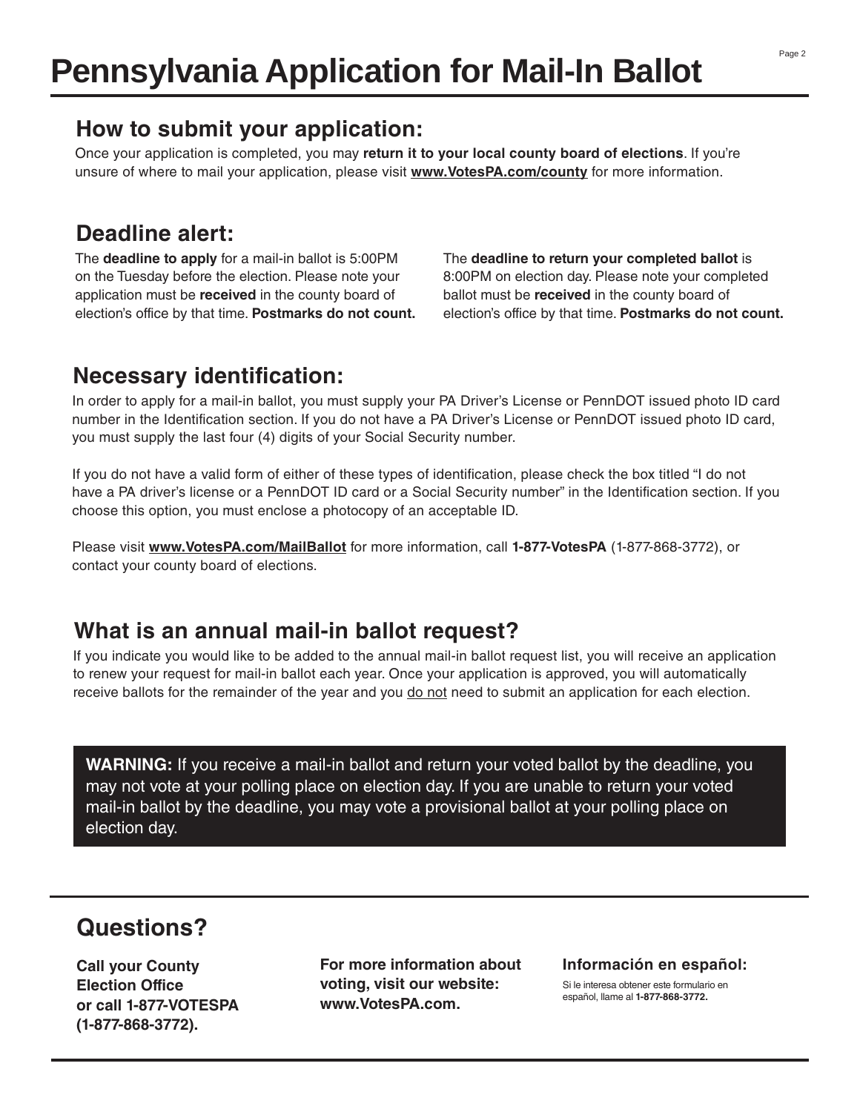#### **How to submit your application:**

Once your application is completed, you may **return it to your local county board of elections**. If you're unsure of where to mail your application, please visit **www.VotesPA.com/county** for more information.

## **Deadline alert:**

The **deadline to apply** for a mail-in ballot is 5:00PM on the Tuesday before the election. Please note your application must be **received** in the county board of election's office by that time. **Postmarks do not count.** The **deadline to return your completed ballot** is 8:00PM on election day. Please note your completed ballot must be **received** in the county board of election's office by that time. **Postmarks do not count.**

## **Necessary identification:**

In order to apply for a mail-in ballot, you must supply your PA Driver's License or PennDOT issued photo ID card number in the Identification section. If you do not have a PA Driver's License or PennDOT issued photo ID card, you must supply the last four (4) digits of your Social Security number.

If you do not have a valid form of either of these types of identification, please check the box titled "I do not have a PA driver's license or a PennDOT ID card or a Social Security number" in the Identification section. If you choose this option, you must enclose a photocopy of an acceptable ID.

Please visit **www.VotesPA.com/MailBallot** for more information, call **1-877-VotesPA** (1-877-868-3772), or contact your county board of elections.

#### **What is an annual mail-in ballot request?**

If you indicate you would like to be added to the annual mail-in ballot request list, you will receive an application to renew your request for mail-in ballot each year. Once your application is approved, you will automatically receive ballots for the remainder of the year and you do not need to submit an application for each election.

**WARNING:** If you receive a mail-in ballot and return your voted ballot by the deadline, you may not vote at your polling place on election day. If you are unable to return your voted mail-in ballot by the deadline, you may vote a provisional ballot at your polling place on election day.

## **Questions?**

**Call your County Election Office or call 1-877-VOTESPA (1-877-868-3772).**

**For more information about voting, visit our website: www.VotesPA.com.**

#### **Información en español:**

Si le interesa obtener este formulario en español, llame al **1-877-868-3772.**